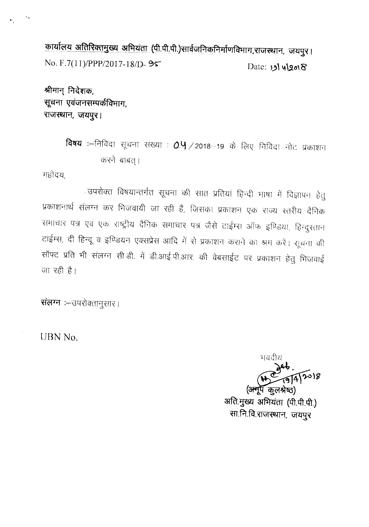कार्यालय अतिरिक्तमुख्य अभियंता (पी.पी.पी.)सार्वजनिकनिर्माणविभाग,राजस्थान, जयपुर। **No. F.7(l1)/PPP/2017-18/D- 9~** Date: 19/4/2018

श्रीमान् निदेशक, **~ ~ ci "1'1 '{isq CfHfl1fT1T.** राजस्थान, जयपुर।

> **विषय** :--निविदा सूचना संख्या : 0.4 /2018--19 के लिए निविदा नोट प्रकाशन करने बाबत्।

महोदय

. उपरोक्त विषयान्तर्गत सूचना की सात प्रतियां हिन्दी भाषा में विज्ञापन हेतू प्रकाशनार्थ संलग्न कर भिजवायी जा रही हैं, जिसका प्रकाशन एक राज्य स्तरीय दैनिक समाचार पत्र एवं एक राष्ट्रीय दैनिक समाचार पत्र जैसे टाईम्स ऑफ इण्डिया, हिन्दुरतान टाईम्स, दी हिन्दू व इण्डियन एक्सप्रेस आदि में से प्रकाशन कराने का श्रम करें। सूचना की सॉफ्ट प्रति भी संलग्न सी.डी. में डी.आई.पी.आर. की वेबसाईट पर प्रकाशन हेतु मिजवाई जा रही है।

संलग्न :- उपरोक्तानुसार।

**lJBN No.**

भवदीय 8(د (अनुपूँ कलश्रेष्ठ)

अति.मुख्य अभियंता (पी.पी.पी.) सा.नि.वि.राजस्थान, जयपुर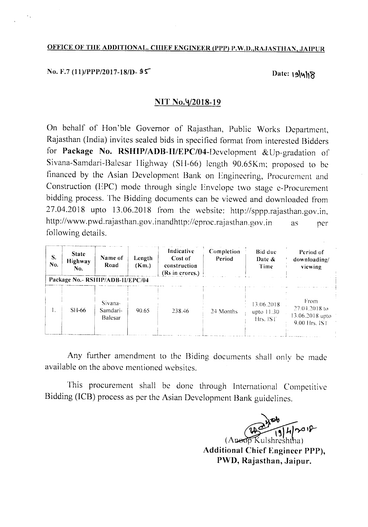# OFFICE OF THE ADDITIONAL. CHIEF ENGINEER (PPP) P.W.D.,RAJASTHAN, JAIPUR

No. F.7 (11)/PPP/2017-18/I)-  $95$ <br>Date:  $19$ |4|18

#### $NIT$  No. $\frac{4}{2018-19}$

On behalf of Hori'ble Governor of Rajasthan, Public Works Department, Rajasthan (India) invites sealed bids in specified format from interested Bidders for Package No. RSHIP/ADB-II/EPC/04-Development &Up-gradation of Sivana-Samdari-Balcsar Highway (SI 1-66) length 90.65Km; proposed to be financed by the Asian Development Bank on Engineering, Procurement and Construction (EPC) mode through single Envelope two stage e-Procurement bidding process. The Bidding documents can be viewed and downloaded from 27.04.2018 upto 13.06.2018 from the website: http://sppp.rajasthan.gov.in, http://www.pwd.rajasthan.gov.inandhttp://eproc. rajasthan .gov. in following details. as per

| S.<br>No. | <b>State</b><br><b>Highway</b><br>No. | Name of<br>Road                       | Length<br>(Km.) | Indicative<br>Cost of<br>construction<br>(Rs in crores.) | Completion<br>Period | Bid due<br>Date $\&$<br>Time           | Period of<br>downloading/<br>viewing                      |
|-----------|---------------------------------------|---------------------------------------|-----------------|----------------------------------------------------------|----------------------|----------------------------------------|-----------------------------------------------------------|
|           |                                       | Package No.- RSHIP/ADB-II/EPC/04      |                 |                                                          |                      |                                        |                                                           |
| Ι.        | $SH-66$                               | Sivana-<br>Samdari-<br><b>Balesar</b> | 90.65           | 238.46                                                   | 24 Months            | 13.06.2018<br>upto $11:30$<br>Hrs. IST | From<br>27.04.2018 to<br>13.06.2018 upto<br>9.00 Hrs. IST |

Any further amendment to the Biding documents shall only be made available on the above mentioned websites.

This procurement shall be done through International Competitive Bidding (lCB) process as per the Asian Development Bank guidelines.

 $\sqrt{[4]{4}}$ (Apeop Kulshreshtha) Additional Chief Engineer PPP), PWD, Rajasthan, Jaipur.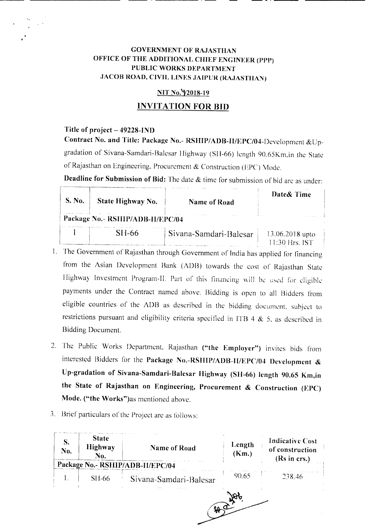# **GOVERNMENT OF RA.JASTIIAN OFFICE OF THE ADDITIONAL CHIEF ENGINEER (PPP) PUBLIC WORKS DEPARTMENT JACOB ROAD, CIVIL LINES .JAIPlJR (RAJASTHAN)**

-\_.\_---- **-\_.\_--**

#### **NIT No.'Y2018-19**

### **INVITATION FOR BID**

#### **Title of project - 49228-IND**

**Contract No. and Title: Package No.- RSIIIP/ADB-II/EPC/04-Development** &Upgradation of Sivana-Samdari-Balcsar Highway (SII-66) length 90.65Km,in the State of Rajasthan on Engineering. Procurement & Construction (EPC) Mode.

**Deadline for Submission of Bid:** The date & time for submission of bid are as under:

| S. No. | State Highway No.                | Name of Road           | Date& Time                            |
|--------|----------------------------------|------------------------|---------------------------------------|
|        | Package No.- RSHIP/ADB-II/EPC/04 |                        |                                       |
|        | SH-66                            | Sivana-Samdari-Balesar | $13.06.2018$ upto<br>$11.30$ Hrs. IST |

- 1. The Government of Rajasthan through Government of India has applied for financing from the Asian Development Bank (ADB) towards the cost of Rajasthan State Highway Investment Program-II. Part of this financing will be used for eligible payments under the Contract named above. Bidding is open to all Bidders from eligible countries of the ADB as described in the bidding document. subject to restrictions pursuant and eligibility criteria specified in ITB 4  $\&$  5, as described in Bidding Document.
- 2. The Public Works Department. Rajasthan **("the Employer")** invites bids from interested Bidders for the **Package No.-RSIIIP/ADB-IIIEPC/04 Development & Up-gradation of Sivana-Samdari-Balesar Highway (SII-66) length 90.65 Km,in the State of Rajasthan on Engineering, Procurement & Construction (EPC) Mode. ("the Works")as** mentioned above.
- 3. Brief particulars of the Project are as follows:

| <b>Highway</b><br>No.<br>No.     | <b>Name of Road</b>    | Length<br>(Km.) | <b>Indicative Cost</b><br>of construction<br>(Rs in crs.) |
|----------------------------------|------------------------|-----------------|-----------------------------------------------------------|
| Package No.- RSHIP/ADB-II/EPC/04 |                        |                 |                                                           |
| SH-66                            | Sivana-Samdari-Balesar | 90.65           | 238.46                                                    |
|                                  |                        |                 |                                                           |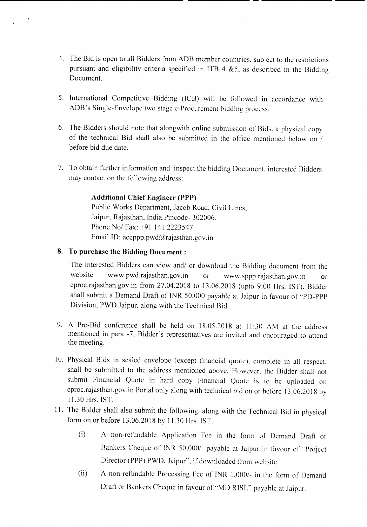- 4. The Bid is open to all Bidders from ADB member countries, subject to the restrictions pursuant and eligibility criteria specified in ITB 4  $&5$ , as described in the Bidding Document.
- 5. International Competitive Bidding (lCB) will be followed in accordance with ADB's Single-Envelope two stage e-Procurement bidding process.
- 6. The Bidders should note that alongwith online submission of Bids. a physical copy of the technical Bid shall also be submitted in the office mentioned below on *1* before bid due date.
- 7. To obtain further information and inspect the bidding Document. interested Bidders may contact on the following address:

### **Additional Chief Engineer (pPJ»**

Public Works Department, Jacob Road, Civil Lines, Jaipur, Rajasthan, India.Pincode- 302006. Phone Nol Fax: +91 141 2223547 Email ID: aceppp.pwd@rajasthan.gov.in

### **8. To purchase the Bidding Document:**

The interested Bidders can view and/ or download the Bidding document from the website www.pwd.rajasthan.gov.in or www.sppp.rajasthan.gov.in or eproc.rajasthan.gov.in from 27.04.2018 to 13.06.2018 (upto 9:00 Hrs. 1ST). Bidder shall submit a Demand Draft of INR 50,000 payable at Jaipur in favour of "PD-PPP Division, PWD Jaipur, along with the Technical Bid.

- 9. A Pre-Bid conference shall be held on 18.05.2018 at II :30 AM at the address mentioned in para -7, Bidder's representatives are invited and encouraged to attend the meeting.
- 10. Physical Bids in sealed envelope (except financial quote), complete in all respect. shall be submitted to the address mentioned above. However, the Bidder shall not submit Financial Quote in hard copy Financial Quote is to be uploaded on eproc.rajasthan.gov.in Portal only along with technical bid on or before 13.06.2018 by 11.30 Hrs. 1ST.
- II. The Bidder shall also submit the following, along with the Technical Bid in physical form on or before 13.06.2018 by 11.30 Hrs. 1ST.
	- $(i)$  A non-refundable Application Fee in the form of Demand Draft or Bankers Cheque of INR 50,000/- payable at Jaipur in favour of "Project Director (PPP) PWD, Jaipur", if downloaded from website.
	- (ii) A non-refundable Processing Fee of INR  $1,000/-$  in the form of Demand Draft or Bankers Cheque in favour of "MD RISL" payable at Jaipur.